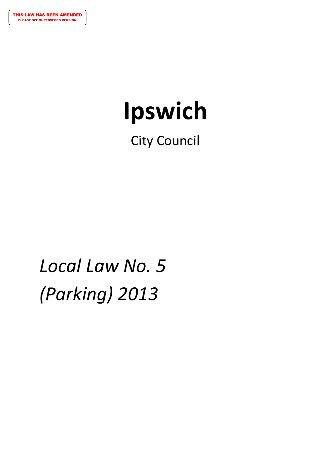# **Ipswich**

City Council

*Local Law No. 5 (Parking) 2013*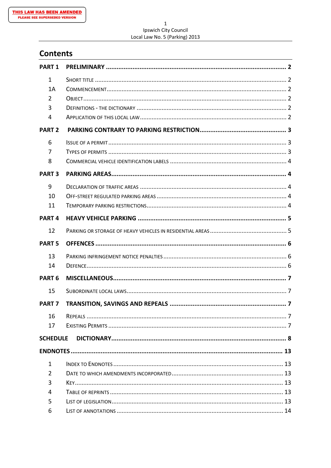#### $\mathbf 1$ Ipswich City Council Local Law No. 5 (Parking) 2013

# **Contents**

| <b>PART 1</b>     |  |
|-------------------|--|
| $\mathbf{1}$      |  |
| 1A                |  |
| 2                 |  |
| 3                 |  |
| 4                 |  |
| <b>PART 2</b>     |  |
| 6                 |  |
| 7                 |  |
| 8                 |  |
| <b>PART 3</b>     |  |
| 9                 |  |
| 10                |  |
| 11                |  |
| <b>PART4</b>      |  |
| 12                |  |
| <b>PART 5</b>     |  |
|                   |  |
| 13                |  |
| 14                |  |
| PART <sub>6</sub> |  |
| 15                |  |
| <b>PART 7</b>     |  |
| 16                |  |
| 17                |  |
| <b>SCHEDULE</b>   |  |
|                   |  |
| $\mathbf{1}$      |  |
| 2                 |  |
| 3                 |  |
| 4                 |  |
| 5                 |  |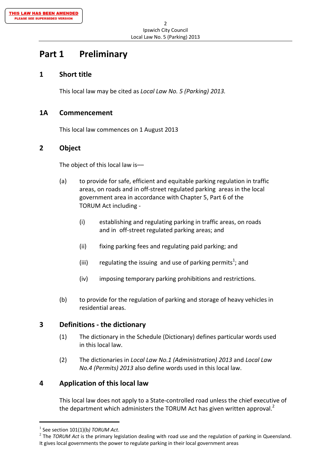# **Part 1 Preliminary**

## **1 Short title**

This local law may be cited as *Local Law No. 5 (Parking) 2013.*

## **1A Commencement**

This local law commences on 1 August 2013

## **2 Object**

The object of this local law is––

- (a) to provide for safe, efficient and equitable parking regulation in traffic areas, on roads and in off‐street regulated parking areas in the local government area in accordance with Chapter 5, Part 6 of the TORUM Act including ‐
	- (i) establishing and regulating parking in traffic areas, on roads and in off‐street regulated parking areas; and
	- (ii) fixing parking fees and regulating paid parking; and
- (iii)  $\qquad$  regulating the issuing and use of parking permits<sup>1</sup>; and
	- (iv) imposing temporary parking prohibitions and restrictions.
	- (b) to provide for the regulation of parking and storage of heavy vehicles in residential areas.

## **3 Definitions ‐ the dictionary**

- (1) The dictionary in the Schedule (Dictionary) defines particular words used in this local law.
- (2) The dictionaries in *Local Law No.1 (Administration) 2013* and *Local Law No.4 (Permits) 2013* also define words used in this local law.

## **4 Application of this local law**

This local law does not apply to a State‐controlled road unless the chief executive of the department which administers the TORUM Act has given written approval. $^2$ 

 <sup>1</sup> See section 101(1)(b*) TORUM Act*.

<sup>2</sup> The *TORUM Act* is the primary legislation dealing with road use and the regulation of parking in Queensland. It gives local governments the power to regulate parking in their local government areas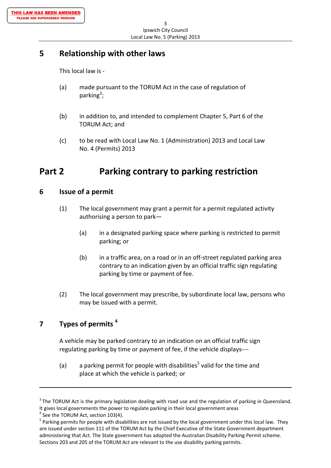## **5 Relationship with other laws**

This local law is ‐

- (a) made pursuant to the TORUM Act in the case of regulation of parking<sup>3</sup>;
	- (b) in addition to, and intended to complement Chapter 5, Part 6 of the TORUM Act; and
	- (c) to be read with Local Law No. 1 (Administration) 2013 and Local Law No. 4 (Permits) 2013

# **Part 2 Parking contrary to parking restriction**

## **6 Issue of a permit**

- (1) The local government may grant a permit for a permit regulated activity authorising a person to park—
	- (a) in a designated parking space where parking is restricted to permit parking; or
	- (b) in a traffic area, on a road or in an off‐street regulated parking area contrary to an indication given by an official traffic sign regulating parking by time or payment of fee.
- (2) The local government may prescribe, by subordinate local law, persons who may be issued with a permit.

## **7 Types of permits <sup>4</sup>**

A vehicle may be parked contrary to an indication on an official traffic sign regulating parking by time or payment of fee, if the vehicle displays

(a) a parking permit for people with disabilities<sup>5</sup> valid for the time and place at which the vehicle is parked; or

 $\overline{\phantom{a}}$  ,  $\overline{\phantom{a}}$  ,  $\overline{\phantom{a}}$  ,  $\overline{\phantom{a}}$  ,  $\overline{\phantom{a}}$  ,  $\overline{\phantom{a}}$  ,  $\overline{\phantom{a}}$  ,  $\overline{\phantom{a}}$  ,  $\overline{\phantom{a}}$  ,  $\overline{\phantom{a}}$  ,  $\overline{\phantom{a}}$  ,  $\overline{\phantom{a}}$  ,  $\overline{\phantom{a}}$  ,  $\overline{\phantom{a}}$  ,  $\overline{\phantom{a}}$  ,  $\overline{\phantom{a}}$ 

 $3$  The TORUM Act is the primary legislation dealing with road use and the regulation of parking in Queensland.<br>It gives local governments the power to regulate parking in their local government areas

<sup>&</sup>lt;sup>4</sup> See the TORUM Act, section 103(4).<br><sup>5</sup> Parking permits for people with disabilities are not issued by the local government under this local law. They are issued under section 111 of the TORUM Act by the Chief Executive of the State Government department administering that Act. The State government has adopted the Australian Disability Parking Permit scheme. Sections 203 and 205 of the TORUM Act are relevant to the use disability parking permits.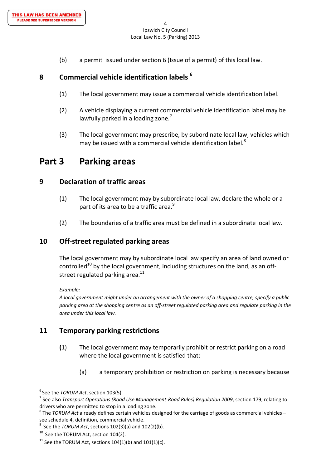(b) a permit issued under section 6 (Issue of a permit) of this local law.

## **8 Commercial vehicle identification labels <sup>6</sup>**

- (1) The local government may issue a commercial vehicle identification label.
- (2) A vehicle displaying a current commercial vehicle identification label may be lawfully parked in a loading zone.<sup>7</sup>
- (3) The local government may prescribe, by subordinate local law, vehicles which may be issued with a commercial vehicle identification label.<sup>8</sup>

## **Part 3 Parking areas**

## **9 Declaration of traffic areas**

- (1) The local government may by subordinate local law, declare the whole or a part of its area to be a traffic area.<sup>9</sup>
- (2) The boundaries of a traffic area must be defined in a subordinate local law.

## **10 Off‐street regulated parking areas**

The local government may by subordinate local law specify an area of land owned or controlled<sup>10</sup> by the local government, including structures on the land, as an offstreet regulated parking area. $^{11}$ 

*Example:*

*A local government might under an arrangement with the owner of a shopping centre, specify a public* parking area at the shopping centre as an off-street regulated parking area and regulate parking in the *area under this local law.*

## **11 Temporary parking restrictions**

- **(**1) The local government may temporarily prohibit or restrict parking on a road where the local government is satisfied that:
	- (a) a temporary prohibition or restriction on parking is necessary because

 <sup>6</sup> See the *TORUM Act*, section 103(5).

<sup>&</sup>lt;sup>7</sup> See also Transport Operations (Road Use Management-Road Rules) Regulation 2009, section 179, relating to drivers who are permitted to stop in a loading zone.<br><sup>8</sup> The *TORUM Act* already defines certain vehicles designed for the carriage of goods as commercial vehicles –

see schedule 4, definition, commercial vehicle.<br><sup>9</sup> See the *TORUM Act*, sections 102(3)(a) and 102(2)(b).

 $10$  See the TORUM Act, section 104(2).

<sup>&</sup>lt;sup>11</sup> See the TORUM Act, sections  $104(1)(b)$  and  $101(1)(c)$ .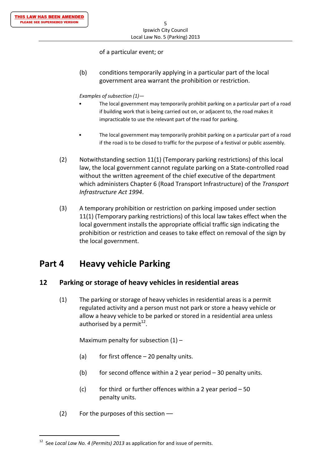#### of a particular event; or

 (b) conditions temporarily applying in a particular part of the local government area warrant the prohibition or restriction.

#### *Examples of subsection (1)—*

- The local government may temporarily prohibit parking on a particular part of a road if building work that is being carried out on, or adjacent to, the road makes it impracticable to use the relevant part of the road for parking.
- The local government may temporarily prohibit parking on a particular part of a road if the road is to be closed to traffic for the purpose of a festival or public assembly.
- (2) Notwithstanding section 11(1) (Temporary parking restrictions) of this local law, the local government cannot regulate parking on a State-controlled road without the written agreement of the chief executive of the department which administers Chapter 6 (Road Transport Infrastructure) of the *Transport Infrastructure Act 1994*.
- (3) A temporary prohibition or restriction on parking imposed under section 11(1) (Temporary parking restrictions) of this local law takes effect when the local government installs the appropriate official traffic sign indicating the prohibition or restriction and ceases to take effect on removal of the sign by the local government.

# **Part 4 Heavy vehicle Parking**

## **12 Parking or storage of heavy vehicles in residential areas**

(1) The parking or storage of heavy vehicles in residential areas is a permit regulated activity and a person must not park or store a heavy vehicle or allow a heavy vehicle to be parked or stored in a residential area unless authorised by a permit $^{12}$ .

Maximum penalty for subsection  $(1)$  –

- (a) for first offence  $-20$  penalty units.
- (b) for second offence within a 2 year period  $-30$  penalty units.
- (c) for third or further offences within a 2 year period  $-50$ penalty units.
- $(2)$  For the purposes of this section ––

 <sup>12</sup> See *Local Law No. 4 (Permits) 2013* as application for and issue of permits.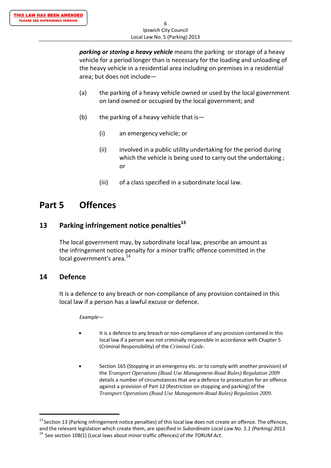*parking or storing a heavy vehicle* means the parking or storage of a heavy vehicle for a period longer than is necessary for the loading and unloading of the heavy vehicle in a residential area including on premises in a residential area; but does not include—

- (a) the parking of a heavy vehicle owned or used by the local government on land owned or occupied by the local government; and
- (b) the parking of a heavy vehicle that is  $-$ 
	- (i) an emergency vehicle; or
- (ii) involved in a public utility undertaking for the period during which the vehicle is being used to carry out the undertaking; or and the contract of the contract of the contract of the contract of the contract of the contract of the con
	- (iii) of a class specified in a subordinate local law.

# **Part 5 Offences**

## **13 Parking infringement notice penalties<sup>13</sup>**

The local government may, by subordinate local law, prescribe an amount as the infringement notice penalty for a minor traffic offence committed in the local government's area.<sup>14</sup>

## **14 Defence**

It is a defence to any breach or non‐compliance of any provision contained in this local law if a person has a lawful excuse or defence.

*Example—*

- It is a defence to any breach or non-compliance of any provision contained in this local law if a person was not criminally responsible in accordance with Chapter 5 (Criminal Responsibility) of the *Criminal Code*.
- Section 165 (Stopping in an emergency etc. or to comply with another provision) of the *Transport Operations (Road Use Management-Road Rules) Regulation 2009* details a number of circumstances that are a defence to prosecution for an offence against a provision of Part 12 (Restriction on stopping and parking) of the *Transport Operations (Road Use Management-Road Rules) Regulation 2009*.

 $13$  Section 13 (Parking infringement notice penalties) of this local law does not create an offence. The offences, and the relevant legislation which create them, are specified in Subordinate Local Law No. 5.1 (Parking) 2013.<br><sup>14</sup> See section 108(1) (Local laws about minor traffic offences) of the TORUM Act.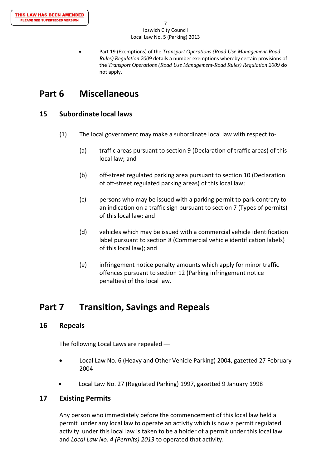Part 19 (Exemptions) of the *Transport Operations (Road Use Management-Road Rules) Regulation 2009* details a number exemptions whereby certain provisions of the *Transport Operations (Road Use Management-Road Rules) Regulation 2009* do not apply.

# **Part 6 Miscellaneous**

## **15 Subordinate local laws**

- (1) The local government may make a subordinate local law with respect to‐
	- (a) traffic areas pursuant to section 9 (Declaration of traffic areas) of this local law; and
	- (b) off‐street regulated parking area pursuant to section 10 (Declaration of off‐street regulated parking areas) of this local law;
	- (c) persons who may be issued with a parking permit to park contrary to an indication on a traffic sign pursuant to section 7 (Types of permits) of this local law; and
	- (d) vehicles which may be issued with a commercial vehicle identification label pursuant to section 8 (Commercial vehicle identification labels) of this local law); and
	- (e) infringement notice penalty amounts which apply for minor traffic offences pursuant to section 12 (Parking infringement notice penalties) of this local law.

# **Part 7 Transition, Savings and Repeals**

## **16 Repeals**

The following Local Laws are repealed ––

- Local Law No. 6 (Heavy and Other Vehicle Parking) 2004, gazetted 27 February 2004
- Local Law No. 27 (Regulated Parking) 1997, gazetted 9 January 1998

## **17 Existing Permits**

Any person who immediately before the commencement of this local law held a permit under any local law to operate an activity which is now a permit regulated activity under this local law is taken to be a holder of a permit under this local law and *Local Law No. 4 (Permits) 2013* to operated that activity.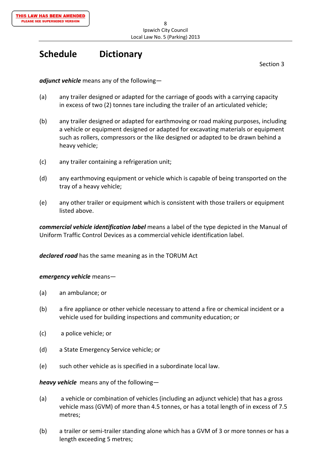# **Schedule Dictionary**

Section 3

*adjunct vehicle* means any of the following—

- (a) any trailer designed or adapted for the carriage of goods with a carrying capacity in excess of two (2) tonnes tare including the trailer of an articulated vehicle;
- (b) any trailer designed or adapted for earthmoving or road making purposes, including a vehicle or equipment designed or adapted for excavating materials or equipment such as rollers, compressors or the like designed or adapted to be drawn behind a heavy vehicle;
- (c) any trailer containing a refrigeration unit;
- (d) any earthmoving equipment or vehicle which is capable of being transported on the tray of a heavy vehicle;
- (e) any other trailer or equipment which is consistent with those trailers or equipment listed above.

*commercial vehicle identification label* means a label of the type depicted in the Manual of Uniform Traffic Control Devices as a commercial vehicle identification label.

*declared road* has the same meaning as in the TORUM Act

#### *emergency vehicle* means—

- (a) an ambulance; or
- (b) a fire appliance or other vehicle necessary to attend a fire or chemical incident or a vehicle used for building inspections and community education; or
- (c) a police vehicle; or
- (d) a State Emergency Service vehicle; or
- (e) such other vehicle as is specified in a subordinate local law.

*heavy vehicle* means any of the following—

- (a) a vehicle or combination of vehicles (including an adjunct vehicle) that has a gross vehicle mass (GVM) of more than 4.5 tonnes, or has a total length of in excess of 7.5 metres;
- (b) a trailer or semi‐trailer standing alone which has a GVM of 3 or more tonnes or has a length exceeding 5 metres;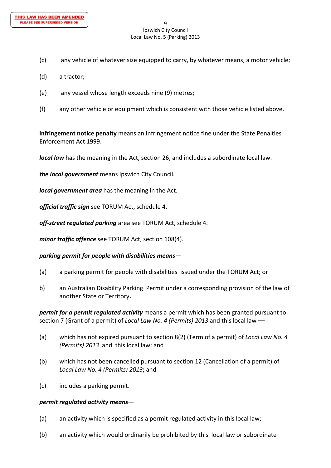- (c) any vehicle of whatever size equipped to carry, by whatever means, a motor vehicle;
- (d) a tractor;
- (e) any vessel whose length exceeds nine (9) metres;
- (f) any other vehicle or equipment which is consistent with those vehicle listed above.

**infringement notice penalty** means an infringement notice fine under the State Penalties Enforcement Act 1999.

*local law* has the meaning in the Act, section 26, and includes a subordinate local law.

*the local government* means Ipswich City Council*.*

*local government area* has the meaning in the Act.

*official traffic sign* see TORUM Act, schedule 4.

*off‐street regulated parking* area see TORUM Act, schedule 4.

*minor traffic offence* see TORUM Act, section 108(4).

*parking permit for people with disabilities means*—

- (a) a parking permit for people with disabilities issued under the TORUM Act; or
- b) an Australian Disability Parking Permit under a corresponding provision of the law of another State or Territory**.**

*permit for a permit regulated activity* means a permit which has been granted pursuant to section 7 (Grant of a permit) of *Local Law No. 4 (Permits) 2013* and this local law ––

- (a) which has not expired pursuant to section 8(2) (Term of a permit) of *Local Law No. 4 (Permits) 2013* and this local law; and
- (b) which has not been cancelled pursuant to section 12 (Cancellation of a permit) of *Local Law No. 4 (Permits) 2013***;** and
- (c) includes a parking permit.

#### *permit regulated activity means*—

- (a) an activity which is specified as a permit regulated activity in this local law;
- (b) an activity which would ordinarily be prohibited by this local law or subordinate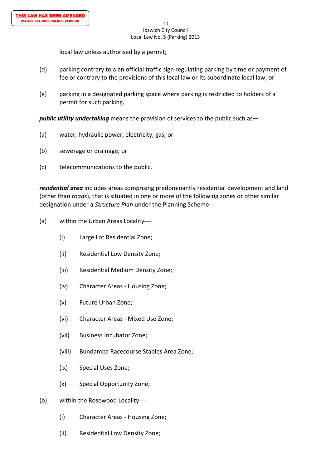local law unless authorised by a permit;

- (d) parking contrary to a an official traffic sign regulating parking by time or payment of fee or contrary to the provisions of this local law or its subordinate local law; or
- (e) parking in a designated parking space where parking is restricted to holders of a permit for such parking.

*public utility undertaking* means the provision of services to the public such as—

- (a) water, hydraulic power, electricity, gas; or
- (b) sewerage or drainage; or
- (c) telecommunications to the public.

*residential area* includes areas comprising predominantly residential development and land (other than *roads*)*,* that is situated in one or more of the following zones or other similar designation under a *Structure Plan* under the Planning Scheme

- (a) within the Urban Areas Locality
	- (i) Large Lot Residential Zone;
	- (ii) Residential Low Density Zone;
	- (iii) Residential Medium Density Zone;
	- (iv) Character Areas ‐ Housing Zone;
	- (v) Future Urban Zone;
	- (vi) Character Areas ‐ Mixed Use Zone;
	- (vii) Business Incubator Zone;
	- (viii) Bundamba Racecourse Stables Area Zone;
	- (ix) Special Uses Zone;
	- (x) Special Opportunity Zone;
- (b) within the Rosewood Locality
	- (i) Character Areas ‐ Housing Zone;
	- (ii) Residential Low Density Zone;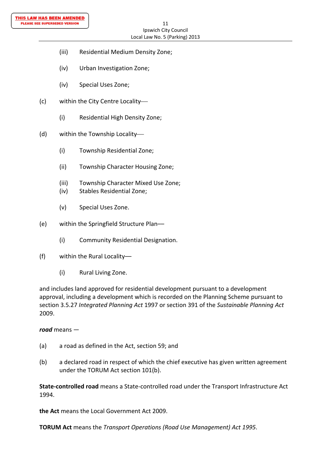- (iii) Residential Medium Density Zone;
- (iv) Urban Investigation Zone;
- (iv) Special Uses Zone;
- (c) within the City Centre Locality
	- (i) Residential High Density Zone;
- (d) within the Township Locality
	- (i) Township Residential Zone;
	- (ii) Township Character Housing Zone;
	- (iii) Township Character Mixed Use Zone;
	- (iv) Stables Residential Zone;
	- (v) Special Uses Zone.
- (e) within the Springfield Structure Plan––
	- (i) Community Residential Designation.
- (f) within the Rural Locality––
	- (i) Rural Living Zone.

and includes land approved for residential development pursuant to a development approval, including a development which is recorded on the Planning Scheme pursuant to section 3.5.27 *Integrated Planning Act* 1997 or section 391 of the *Sustainable Planning Act* 2009.

## *road* means —

- (a) a road as defined in the Act, section 59; and
- (b) a declared road in respect of which the chief executive has given written agreement under the TORUM Act section 101(b).

**State‐controlled road** means a State‐controlled road under the Transport Infrastructure Act 1994.

**the Act** means the Local Government Act 2009.

**TORUM Act** means the *Transport Operations (Road Use Management) Act 1995*.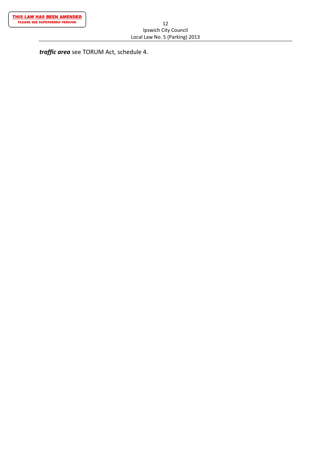*traffic area* see TORUM Act, schedule 4.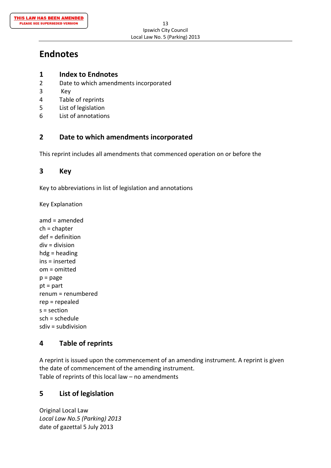# **Endnotes**

## **1 Index to Endnotes**

- 2 Date to which amendments incorporated
- 3 Key
- 4 Table of reprints
- 5 List of legislation
- 6 List of annotations

## **2 Date to which amendments incorporated**

This reprint includes all amendments that commenced operation on or before the

## **3 Key**

Key to abbreviations in list of legislation and annotations

Key Explanation

amd = amended ch = chapter def = definition div = division hdg = heading ins = inserted om = omitted  $p = page$ pt = part renum = renumbered rep = repealed s = section sch = schedule sdiv = subdivision

## **4 Table of reprints**

A reprint is issued upon the commencement of an amending instrument. A reprint is given the date of commencement of the amending instrument. Table of reprints of this local law – no amendments

## **5 List of legislation**

Original Local Law *Local Law No.5 (Parking) 2013* date of gazettal 5 July 2013